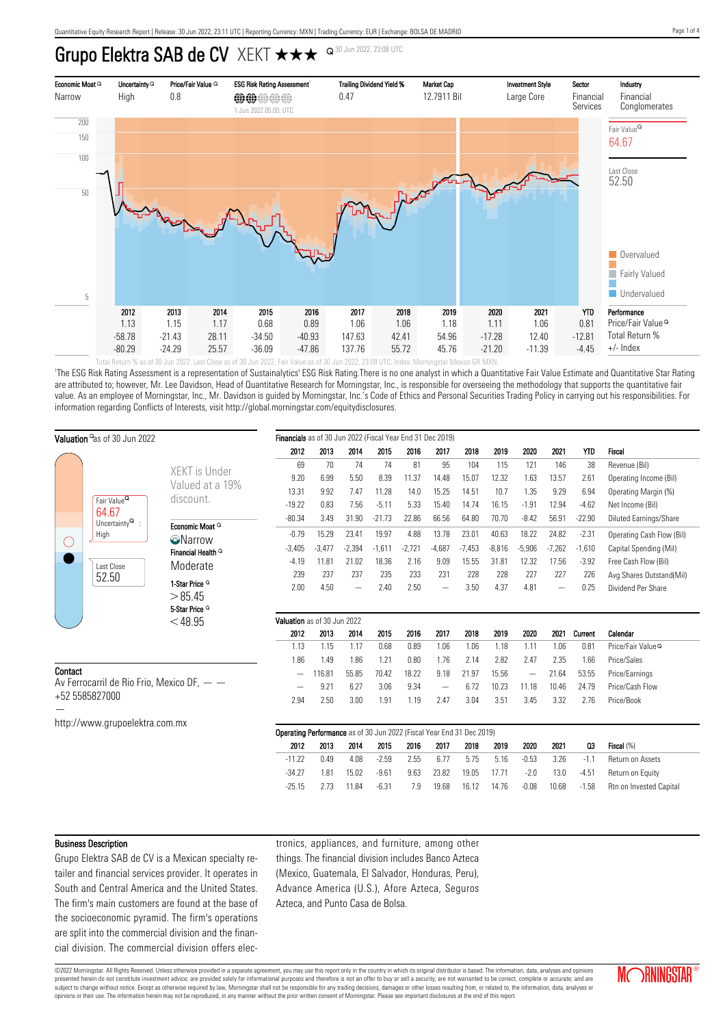Grupo Elektra SAB de CV XEKT  $\star\star\star$  <sup>Q 30 Jun 2022, 23:08 UTC</sup>



'The ESG Risk Rating Assessment is a representation of Sustainalytics' ESG Risk Rating.There is no one analyst in which a Quantitative Fair Value Estimate and Quantitative Star Rating are attributed to; however, Mr. Lee Davidson, Head of Quantitative Research for Morningstar, Inc., is responsible for overseeing the methodology that supports the quantitative fair value. As an employee of Morningstar, Inc., Mr. Davidson is guided by Morningstar, Inc.'s Code of Ethics and Personal Securities Trading Policy in carrying out his responsibilities. For information regarding Conflicts of Interests, visit http://global.morningstar.com/equitydisclosures.

| Valuation <sup>o</sup> as of 30 Jun 2022                                 |                                          |                                                                                 | Financials as of 30 Jun 2022 (Fiscal Year End 31 Dec 2019) |          |          |          |          |                   |          |          |                          |                   |          |                               |
|--------------------------------------------------------------------------|------------------------------------------|---------------------------------------------------------------------------------|------------------------------------------------------------|----------|----------|----------|----------|-------------------|----------|----------|--------------------------|-------------------|----------|-------------------------------|
|                                                                          |                                          |                                                                                 | 2012                                                       | 2013     | 2014     | 2015     | 2016     | 2017              | 2018     | 2019     | 2020                     | 2021              | YTD      | Fiscal                        |
|                                                                          |                                          | XEKT is Under                                                                   | 69                                                         | 70       | 74       | 74       | 81       | 95                | 104      | 115      | 121                      | 146               | 38       | Revenue (Bil)                 |
|                                                                          |                                          | Valued at a 19%                                                                 | 9.20                                                       | 6.99     | 5.50     | 8.39     | 11.37    | 14.48             | 15.07    | 12.32    | 1.63                     | 13.57             | 2.61     | Operating Income (Bil)        |
|                                                                          |                                          |                                                                                 | 13.31                                                      | 9.92     | 7.47     | 11.28    | 14.0     | 15.25             | 14.51    | 10.7     | 1.35                     | 9.29              | 6.94     | Operating Margin (%)          |
|                                                                          | Fair Value <sup>Q</sup>                  | discount.                                                                       | $-19.22$                                                   | 0.83     | 7.56     | $-5.11$  | 5.33     | 15.40             | 14.74    | 16.15    | $-1.91$                  | 12.94             | $-4.62$  | Net Income (Bil)              |
|                                                                          | 64.67<br>Uncertainty $^{\mathsf{Q}}\,$ : |                                                                                 | $-80.34$                                                   | 3.49     | 31.90    | $-21.73$ | 22.86    | 66.56             | 64.80    | 70.70    | $-8.42$                  | 56.91             | $-22.90$ | Diluted Earnings/Share        |
| $\left(\ \right)$                                                        | High<br>Last Close<br>52.50              | Economic Moat Q<br><b>O</b> Narrow<br>Financial Health <sup>Q</sup><br>Moderate | $-0.79$                                                    | 15.29    | 23.41    | 19.97    | 4.88     | 13.78             | 23.01    | 40.63    | 18.22                    | 24.82             | $-2.31$  | Operating Cash Flow (Bil)     |
|                                                                          |                                          |                                                                                 | $-3,405$                                                   | $-3,477$ | $-2,394$ | $-1,611$ | $-2,721$ | $-4,687$          | $-7,453$ | $-8,816$ | $-5,906$                 | $-7,262$          | $-1,610$ | Capital Spending (Mil)        |
|                                                                          |                                          |                                                                                 | $-4.19$                                                    | 11.81    | 21.02    | 18.36    | 2.16     | 9.09              | 15.55    | 31.81    | 12.32                    | 17.56             | $-3.92$  | Free Cash Flow (Bil)          |
|                                                                          |                                          |                                                                                 | 239                                                        | 237      | 237      | 235      | 233      | 231               | 228      | 228      | 227                      | 227               | 226      | Avg Shares Outstand(Mil)      |
|                                                                          |                                          | 1-Star Price <sup>Q</sup><br>>85.45                                             | 2.00                                                       | 4.50     |          | 2.40     | 2.50     | $\qquad \qquad -$ | 3.50     | 4.37     | 4.81                     | $\qquad \qquad -$ | 0.25     | Dividend Per Share            |
|                                                                          |                                          | 5-Star Price <sup>Q</sup><br>$<$ 48.95                                          | Valuation as of 30 Jun 2022                                |          |          |          |          |                   |          |          |                          |                   |          |                               |
|                                                                          |                                          |                                                                                 |                                                            | 2013     | 2014     | 2015     | 2016     | 2017              | 2018     | 2019     | 2020                     | 2021              | Current  | Calendar                      |
|                                                                          |                                          |                                                                                 | 1.13                                                       | 1.15     | 1.17     | 0.68     | 0.89     | 1.06              | 1.06     | 1.18     | 1.11                     | 1.06              | 0.81     | Price/Fair Value <sup>Q</sup> |
|                                                                          |                                          |                                                                                 | 1.86                                                       | 1.49     | 1.86     | 1.21     | 0.80     | 1.76              | 2.14     | 2.82     | 2.47                     | 2.35              | 1.66     | Price/Sales                   |
| Contact<br>Av Ferrocarril de Rio Frio, Mexico DF, $ -$<br>+52 5585827000 |                                          |                                                                                 | $\overline{\phantom{m}}$                                   | 116.81   | 55.85    | 70.42    | 18.22    | 9.18              | 21.97    | 15.56    | $\overline{\phantom{m}}$ | 21.64             | 53.55    | Price/Earnings                |
|                                                                          |                                          |                                                                                 |                                                            | 9.21     | 6.27     | 3.06     | 9.34     |                   | 6.72     | 10.23    | 11.18                    | 10.46             | 24.79    | Price/Cash Flow               |
|                                                                          |                                          |                                                                                 | 2.94                                                       | 2.50     | 3.00     | 1.91     | 1.19     | 2.47              | 3.04     | 3.51     | 3.45                     | 3.32              | 2.76     | Price/Book                    |
|                                                                          | http://www.grupoelektra.com.mx           |                                                                                 |                                                            |          |          |          |          |                   |          |          |                          |                   |          |                               |
|                                                                          |                                          | Operating Performance as of 30 Jun 2022 (Fiscal Year End 31 Dec 2019)           |                                                            |          |          |          |          |                   |          |          |                          |                   |          |                               |
|                                                                          |                                          |                                                                                 | 2012                                                       | 2013     | 2014     | 2015     | 2016     | 2017              | 2018     | 2019     | 2020                     | 2021              | Q3       | Fiscal (%)                    |
|                                                                          |                                          |                                                                                 | $-11.22$                                                   | 0.49     | 4.08     | $-2.59$  | 2.55     | 6.77              | 5.75     | 5.16     | $-0.53$                  | 3.26              | $-1.1$   | Return on Assets              |
|                                                                          |                                          |                                                                                 | $-34.27$                                                   | 1.81     | 15.02    | $-9.61$  | 9.63     | 23.82             | 19.05    | 17.71    | $-2.0$                   | 13.0              | $-4.51$  | Return on Equity              |
|                                                                          |                                          |                                                                                 | $-25.15$                                                   | 2.73     | 11.84    | $-6.31$  | 7.9      | 19.68             | 16.12    | 14.76    | $-0.08$                  | 10.68             | $-1.58$  | Rtn on Invested Capital       |
|                                                                          |                                          |                                                                                 |                                                            |          |          |          |          |                   |          |          |                          |                   |          |                               |

#### Business Description

Grupo Elektra SAB de CV is a Mexican specialty retailer and financial services provider. It operates in South and Central America and the United States. The firm's main customers are found at the base of the socioeconomic pyramid. The firm's operations are split into the commercial division and the financial division. The commercial division offers electronics, appliances, and furniture, among other things. The financial division includes Banco Azteca (Mexico, Guatemala, El Salvador, Honduras, Peru), Advance America (U.S.), Afore Azteca, Seguros Azteca, and Punto Casa de Bolsa.

©2022 Morningstar. All Rights Reserved. Unless otherwise provided in a separate agreement, you may use this report only in the country in which its original distributor is based. The information, data, analyses and opinions presented herein do not constitute investment advice; are provided solely for informational purposes and therefore is not an offer to buy or sell a security; are not warranted to be correct, complete or accurate; and are subject to change without notice. Except as otherwise required by law, Morningstar shall not be responsible for any trading decisions, damages or other losses resulting from, or related to, the information, data, analyses opinions or their use. The information herein may not be reproduced, in any manner without the prior written consent of Morningstar. Please see important disclosures at the end of this report.

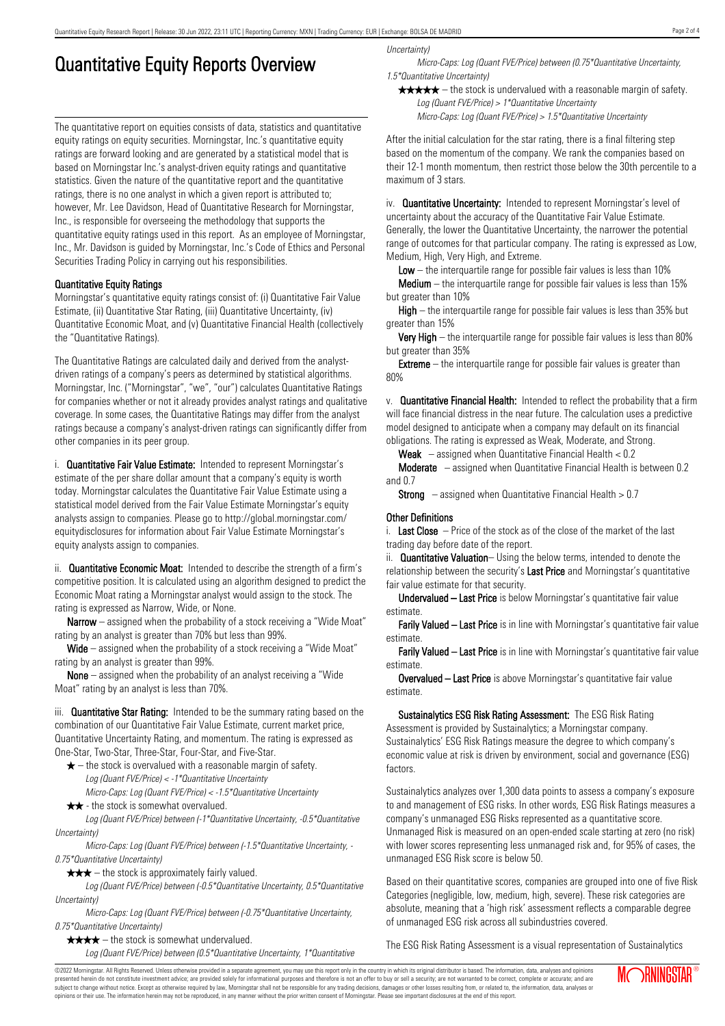# Quantitative Equity Reports Overview

The quantitative report on equities consists of data, statistics and quantitative equity ratings on equity securities. Morningstar, Inc.'s quantitative equity ratings are forward looking and are generated by a statistical model that is based on Morningstar Inc.'s analyst-driven equity ratings and quantitative statistics. Given the nature of the quantitative report and the quantitative ratings, there is no one analyst in which a given report is attributed to; however, Mr. Lee Davidson, Head of Quantitative Research for Morningstar, Inc., is responsible for overseeing the methodology that supports the quantitative equity ratings used in this report. As an employee of Morningstar, Inc., Mr. Davidson is guided by Morningstar, Inc.'s Code of Ethics and Personal Securities Trading Policy in carrying out his responsibilities.

### Quantitative Equity Ratings

Morningstar's quantitative equity ratings consist of: (i) Quantitative Fair Value Estimate, (ii) Quantitative Star Rating, (iii) Quantitative Uncertainty, (iv) Quantitative Economic Moat, and (v) Quantitative Financial Health (collectively the "Quantitative Ratings).

The Quantitative Ratings are calculated daily and derived from the analystdriven ratings of a company's peers as determined by statistical algorithms. Morningstar, Inc. ("Morningstar", "we", "our") calculates Quantitative Ratings for companies whether or not it already provides analyst ratings and qualitative coverage. In some cases, the Quantitative Ratings may differ from the analyst ratings because a company's analyst-driven ratings can significantly differ from other companies in its peer group.

i. **Quantitative Fair Value Estimate:** Intended to represent Morningstar's estimate of the per share dollar amount that a company's equity is worth today. Morningstar calculates the Quantitative Fair Value Estimate using a statistical model derived from the Fair Value Estimate Morningstar's equity analysts assign to companies. Please go to http://global.morningstar.com/ equitydisclosures for information about Fair Value Estimate Morningstar's equity analysts assign to companies.

ii. **Quantitative Economic Moat:** Intended to describe the strength of a firm's competitive position. It is calculated using an algorithm designed to predict the Economic Moat rating a Morningstar analyst would assign to the stock. The rating is expressed as Narrow, Wide, or None.

**Narrow** – assigned when the probability of a stock receiving a "Wide Moat" rating by an analyst is greater than 70% but less than 99%.

Wide – assigned when the probability of a stock receiving a "Wide Moat" rating by an analyst is greater than 99%.

None – assigned when the probability of an analyst receiving a "Wide Moat" rating by an analyst is less than 70%.

iii. **Quantitative Star Rating:** Intended to be the summary rating based on the combination of our Quantitative Fair Value Estimate, current market price, Quantitative Uncertainty Rating, and momentum. The rating is expressed as One-Star, Two-Star, Three-Star, Four-Star, and Five-Star.

- $\star$  the stock is overvalued with a reasonable margin of safety. Log (Quant FVE/Price) < -1\*Quantitative Uncertainty
- Micro-Caps: Log (Quant FVE/Price) < -1.5\*Quantitative Uncertainty  $\star \star$  - the stock is somewhat overvalued.

Log (Quant FVE/Price) between (-1\*Quantitative Uncertainty, -0.5\*Quantitative Uncertainty)

Micro-Caps: Log (Quant FVE/Price) between (-1.5\*Quantitative Uncertainty, - 0.75\*Quantitative Uncertainty)

 $\star \star \star$  – the stock is approximately fairly valued.

Log (Quant FVE/Price) between (-0.5\*Quantitative Uncertainty, 0.5\*Quantitative Uncertainty)

Micro-Caps: Log (Quant FVE/Price) between (-0.75\*Quantitative Uncertainty, 0.75\*Quantitative Uncertainty)

 $\star \star \star \star$  – the stock is somewhat undervalued.

Log (Quant FVE/Price) between (0.5\*Quantitative Uncertainty, 1\*Quantitative

Uncertainty)

Micro-Caps: Log (Quant FVE/Price) between (0.75\*Quantitative Uncertainty, 1.5\*Quantitative Uncertainty)

 $\star \star \star \star$  – the stock is undervalued with a reasonable margin of safety. Log (Quant FVE/Price) > 1\*Quantitative Uncertainty

Micro-Caps: Log (Quant FVE/Price) > 1.5\*Quantitative Uncertainty

After the initial calculation for the star rating, there is a final filtering step based on the momentum of the company. We rank the companies based on their 12-1 month momentum, then restrict those below the 30th percentile to a maximum of 3 stars.

iv. **Quantitative Uncertainty:** Intended to represent Morningstar's level of uncertainty about the accuracy of the Quantitative Fair Value Estimate. Generally, the lower the Quantitative Uncertainty, the narrower the potential range of outcomes for that particular company. The rating is expressed as Low, Medium, High, Very High, and Extreme.

**Low** – the interguartile range for possible fair values is less than  $10\%$ 

**Medium** – the interquartile range for possible fair values is less than  $15\%$ but greater than 10%

High – the interquartile range for possible fair values is less than 35% but greater than 15%

Very High – the interquartile range for possible fair values is less than 80% but greater than 35%

**Extreme** – the interquartile range for possible fair values is greater than 80%

v. Quantitative Financial Health: Intended to reflect the probability that a firm will face financial distress in the near future. The calculation uses a predictive model designed to anticipate when a company may default on its financial obligations. The rating is expressed as Weak, Moderate, and Strong.

**Weak**  $-$  assigned when Quantitative Financial Health  $< 0.2$ 

Moderate – assigned when Quantitative Financial Health is between 0.2 and 0.7

**Strong** – assigned when Quantitative Financial Health  $> 0.7$ 

#### Other Definitions

i. Last Close  $-$  Price of the stock as of the close of the market of the last trading day before date of the report.

ii. **Quantitative Valuation**– Using the below terms, intended to denote the relationship between the security's Last Price and Morningstar's quantitative fair value estimate for that security.

Undervalued – Last Price is below Morningstar's quantitative fair value estimate.

Farily Valued – Last Price is in line with Morningstar's quantitative fair value estimate.

Farily Valued – Last Price is in line with Morningstar's quantitative fair value estimate.

Overvalued – Last Price is above Morningstar's quantitative fair value estimate.

Sustainalytics ESG Risk Rating Assessment: The ESG Risk Rating Assessment is provided by Sustainalytics; a Morningstar company. Sustainalytics' ESG Risk Ratings measure the degree to which company's economic value at risk is driven by environment, social and governance (ESG) factors.

Sustainalytics analyzes over 1,300 data points to assess a company's exposure to and management of ESG risks. In other words, ESG Risk Ratings measures a company's unmanaged ESG Risks represented as a quantitative score. Unmanaged Risk is measured on an open-ended scale starting at zero (no risk) with lower scores representing less unmanaged risk and, for 95% of cases, the unmanaged ESG Risk score is below 50.

Based on their quantitative scores, companies are grouped into one of five Risk Categories (negligible, low, medium, high, severe). These risk categories are absolute, meaning that a 'high risk' assessment reflects a comparable degree of unmanaged ESG risk across all subindustries covered.

The ESG Risk Rating Assessment is a visual representation of Sustainalytics

©2022 Morningstar. All Rights Reserved. Unless otherwise provided in a separate agreement, you may use this report only in the country in which its original distributor is based. The information, data, analyses and opinions presented herein do not constitute investment advice; are provided solely for informational purposes and therefore is not an offer to buy or sell a security; are not warranted to be correct, complete or accurate; and are subject to change without notice. Except as otherwise required by law, Morningstar shall not be responsible for any trading decisions, damages or other losses resulting from, or related to, the information, data, analyses or opinions or their use. The information herein may not be reproduced, in any manner without the prior written consent of Morningstar. Please see important disclosures at the end of this report.

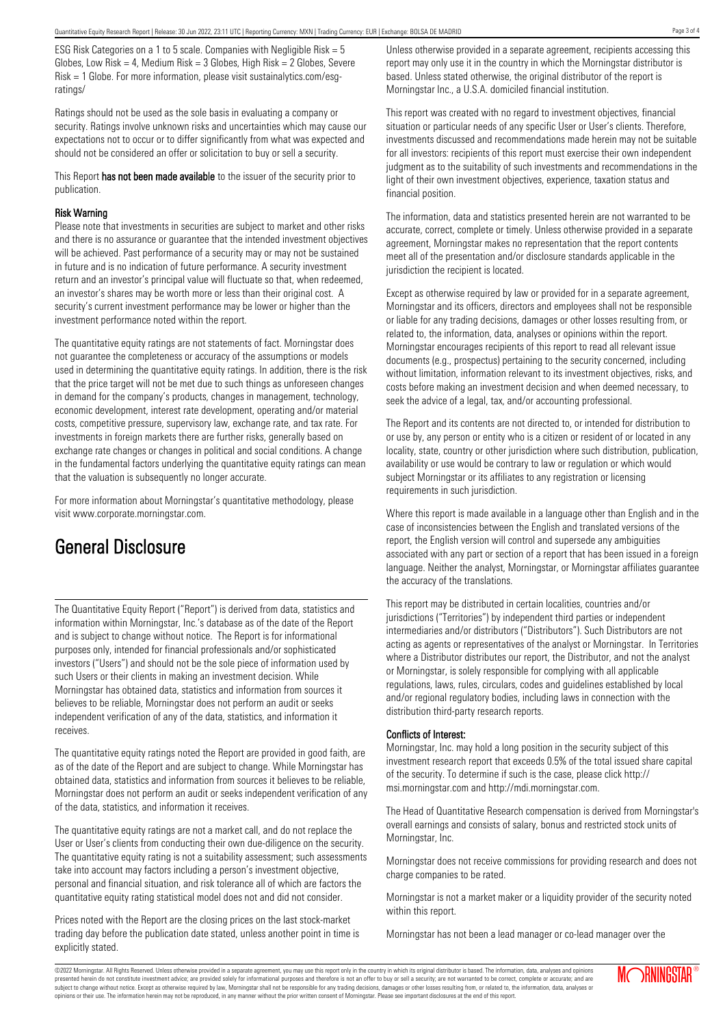ESG Risk Categories on a 1 to 5 scale. Companies with Negligible Risk = 5 Globes, Low Risk = 4, Medium Risk =  $3$  Globes, High Risk =  $2$  Globes, Severe Risk = 1 Globe. For more information, please visit sustainalytics.com/esgratings/

Ratings should not be used as the sole basis in evaluating a company or security. Ratings involve unknown risks and uncertainties which may cause our expectations not to occur or to differ significantly from what was expected and should not be considered an offer or solicitation to buy or sell a security.

This Report has not been made available to the issuer of the security prior to publication.

#### Risk Warning

Please note that investments in securities are subject to market and other risks and there is no assurance or guarantee that the intended investment objectives will be achieved. Past performance of a security may or may not be sustained in future and is no indication of future performance. A security investment return and an investor's principal value will fluctuate so that, when redeemed, an investor's shares may be worth more or less than their original cost. A security's current investment performance may be lower or higher than the investment performance noted within the report.

The quantitative equity ratings are not statements of fact. Morningstar does not guarantee the completeness or accuracy of the assumptions or models used in determining the quantitative equity ratings. In addition, there is the risk that the price target will not be met due to such things as unforeseen changes in demand for the company's products, changes in management, technology, economic development, interest rate development, operating and/or material costs, competitive pressure, supervisory law, exchange rate, and tax rate. For investments in foreign markets there are further risks, generally based on exchange rate changes or changes in political and social conditions. A change in the fundamental factors underlying the quantitative equity ratings can mean that the valuation is subsequently no longer accurate.

For more information about Morningstar's quantitative methodology, please visit www.corporate.morningstar.com.

## General Disclosure

The Quantitative Equity Report ("Report") is derived from data, statistics and information within Morningstar, Inc.'s database as of the date of the Report and is subject to change without notice. The Report is for informational purposes only, intended for financial professionals and/or sophisticated investors ("Users") and should not be the sole piece of information used by such Users or their clients in making an investment decision. While Morningstar has obtained data, statistics and information from sources it believes to be reliable, Morningstar does not perform an audit or seeks independent verification of any of the data, statistics, and information it receives.

The quantitative equity ratings noted the Report are provided in good faith, are as of the date of the Report and are subject to change. While Morningstar has obtained data, statistics and information from sources it believes to be reliable, Morningstar does not perform an audit or seeks independent verification of any of the data, statistics, and information it receives.

The quantitative equity ratings are not a market call, and do not replace the User or User's clients from conducting their own due-diligence on the security. The quantitative equity rating is not a suitability assessment; such assessments take into account may factors including a person's investment objective, personal and financial situation, and risk tolerance all of which are factors the quantitative equity rating statistical model does not and did not consider.

Prices noted with the Report are the closing prices on the last stock-market trading day before the publication date stated, unless another point in time is explicitly stated.

Unless otherwise provided in a separate agreement, recipients accessing this report may only use it in the country in which the Morningstar distributor is based. Unless stated otherwise, the original distributor of the report is Morningstar Inc., a U.S.A. domiciled financial institution.

This report was created with no regard to investment objectives, financial situation or particular needs of any specific User or User's clients. Therefore, investments discussed and recommendations made herein may not be suitable for all investors: recipients of this report must exercise their own independent judgment as to the suitability of such investments and recommendations in the light of their own investment objectives, experience, taxation status and financial position.

The information, data and statistics presented herein are not warranted to be accurate, correct, complete or timely. Unless otherwise provided in a separate agreement, Morningstar makes no representation that the report contents meet all of the presentation and/or disclosure standards applicable in the jurisdiction the recipient is located.

Except as otherwise required by law or provided for in a separate agreement, Morningstar and its officers, directors and employees shall not be responsible or liable for any trading decisions, damages or other losses resulting from, or related to, the information, data, analyses or opinions within the report. Morningstar encourages recipients of this report to read all relevant issue documents (e.g., prospectus) pertaining to the security concerned, including without limitation, information relevant to its investment objectives, risks, and costs before making an investment decision and when deemed necessary, to seek the advice of a legal, tax, and/or accounting professional.

The Report and its contents are not directed to, or intended for distribution to or use by, any person or entity who is a citizen or resident of or located in any locality, state, country or other jurisdiction where such distribution, publication, availability or use would be contrary to law or regulation or which would subject Morningstar or its affiliates to any registration or licensing requirements in such jurisdiction.

Where this report is made available in a language other than English and in the case of inconsistencies between the English and translated versions of the report, the English version will control and supersede any ambiguities associated with any part or section of a report that has been issued in a foreign language. Neither the analyst, Morningstar, or Morningstar affiliates guarantee the accuracy of the translations.

This report may be distributed in certain localities, countries and/or jurisdictions ("Territories") by independent third parties or independent intermediaries and/or distributors ("Distributors"). Such Distributors are not acting as agents or representatives of the analyst or Morningstar. In Territories where a Distributor distributes our report, the Distributor, and not the analyst or Morningstar, is solely responsible for complying with all applicable regulations, laws, rules, circulars, codes and guidelines established by local and/or regional regulatory bodies, including laws in connection with the distribution third-party research reports.

#### Conflicts of Interest:

Morningstar, Inc. may hold a long position in the security subject of this investment research report that exceeds 0.5% of the total issued share capital of the security. To determine if such is the case, please click http:// msi.morningstar.com and http://mdi.morningstar.com.

The Head of Quantitative Research compensation is derived from Morningstar's overall earnings and consists of salary, bonus and restricted stock units of Morningstar, Inc.

Morningstar does not receive commissions for providing research and does not charge companies to be rated.

Morningstar is not a market maker or a liquidity provider of the security noted within this report.

Morningstar has not been a lead manager or co-lead manager over the